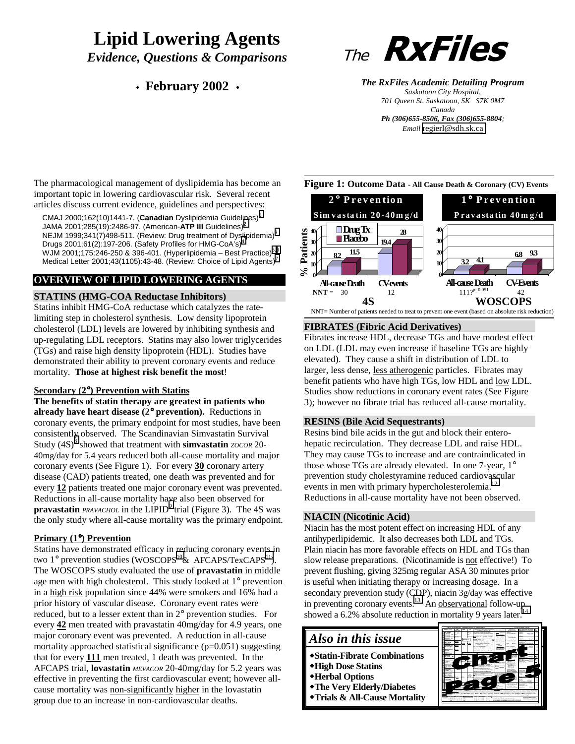# **Lipid Lowering Agents** *Evidence, Questions & Comparisons*

# • **February 2002** •



*The RxFiles Academic Detailing Program Saskatoon City Hospital, 701 Queen St. Saskatoon, SK S7K 0M7 Canada Ph (306)655-8506, Fax (306)655-8804; Email* [regierl@sdh.sk.ca](mailto:regierl@sdh.sk.ca)

The pharmacological management of dyslipidemia has become an important topic in lowering cardiovascular risk. Several recent articles discuss current evidence, guidelines and perspectives:

CMAJ 2000;162(10)1441-7. (**Canadian** Dyslipidemia Guidelines)[1](#page-6-0) JAMA 2001;285(19):2486-97. (American-**ATP III** Guidelines)[2](#page-6-0) NEJM 1999;[3](#page-6-0)41(7)498-511. (Review: Drug treatment of Dyslipidemia)<sup>3</sup> Drugs 2001;61(2):197-206. (Safety Profiles for HMG-CoA's)[4](#page-6-0) WJM 2001;175:246-250 & 396-401. (Hyperlipidemia – Best Practice)<sup>[5,6](#page-6-0)</sup> Medical Letter 2001;43(1105):43-48. (Review: Choice of Lipid Agents)<sup>7</sup>

# **OVERVIEW OF LIPID LOWERING AGENTS**

# **STATINS (HMG-COA Reductase Inhibitors)**

Statins inhibit HMG-CoA reductase which catalyzes the ratelimiting step in cholesterol synthesis. Low density lipoprotein cholesterol (LDL) levels are lowered by inhibiting synthesis and up-regulating LDL receptors. Statins may also lower triglycerides (TGs) and raise high density lipoprotein (HDL). Studies have demonstrated their ability to prevent coronary events and reduce mortality. **Those at highest risk benefit the most**!

### **Secondary (2**°**) Prevention with Statins**

**The benefits of statin therapy are greatest in patients who already have heart disease (2**° **prevention).** Reductions in coronary events, the primary endpoint for most studies, have been consistently observed. The Scandinavian Simvastatin Survival Study (4S)<sup>[8](#page-6-0)</sup> showed that treatment with **simvastatin** *zocor* 20-40mg/day for 5.4 years reduced both all-cause mortality and major coronary events (See Figure 1). For every **30** coronary artery disease (CAD) patients treated, one death was prevented and for every **12** patients treated one major coronary event was prevented. Reductions in all-cause mortality have also been observed for **pravastatin** *PRAVACHOL* in the LIPID<sup>[9](#page-6-0)</sup> trial (Figure 3). The 4S was the only study where all-cause mortality was the primary endpoint.

# **Primary (1**°**) Prevention**

Statins have demonstrated efficacy in reducing coronary events in two  $1^{\circ}$  prevention studies (WOSCOPS<sup>10</sup>& AFCAPS/TexCAPS<sup>11</sup>). The WOSCOPS study evaluated the use of **pravastatin** in middle age men with high cholesterol. This study looked at 1° prevention in a high risk population since 44% were smokers and 16% had a prior history of vascular disease. Coronary event rates were reduced, but to a lesser extent than in 2° prevention studies. For every **42** men treated with pravastatin 40mg/day for 4.9 years, one major coronary event was prevented. A reduction in all-cause mortality approached statistical significance (p=0.051) suggesting that for every **111** men treated, 1 death was prevented. In the AFCAPS trial, **lovastatin** *MEVACOR* 20-40mg/day for 5.2 years was effective in preventing the first cardiovascular event; however allcause mortality was non-significantly higher in the lovastatin group due to an increase in non-cardiovascular deaths.





# **FIBRATES (Fibric Acid Derivatives)**

Fibrates increase HDL, decrease TGs and have modest effect on LDL (LDL may even increase if baseline TGs are highly elevated). They cause a shift in distribution of LDL to larger, less dense, less atherogenic particles. Fibrates may benefit patients who have high TGs, low HDL and low LDL. Studies show reductions in coronary event rates (See Figure 3); however no fibrate trial has reduced all-cause mortality.

# **RESINS (Bile Acid Sequestrants)**

Resins bind bile acids in the gut and block their enterohepatic recirculation. They decrease LDL and raise HDL. They may cause TGs to increase and are contraindicated in those whose TGs are already elevated. In one 7-year, 1° prevention study cholestyramine reduced cardiovascular events in men with primary hypercholesterolemia.<sup>[12](#page-6-0)</sup> Reductions in all-cause mortality have not been observed.

# **NIACIN (Nicotinic Acid)**

Niacin has the most potent effect on increasing HDL of any antihyperlipidemic. It also decreases both LDL and TGs. Plain niacin has more favorable effects on HDL and TGs than slow release preparations. (Nicotinamide is not effective!) To prevent flushing, giving 325mg regular ASA 30 minutes prior is useful when initiating therapy or increasing dosage. In a secondary prevention study (CDP), niacin 3g/day was effective in preventing coronary events.<sup>13</sup> An observational follow-up showed a 6.2% absolute reduction in mortality 9 years later.

# *Also in this issue*

- **Statin-Fibrate Combinations**
- **High Dose Statins**
- **Herbal Options**
- **The Very Elderly/Diabetes**
- **Trials & All-Cause Mortality**

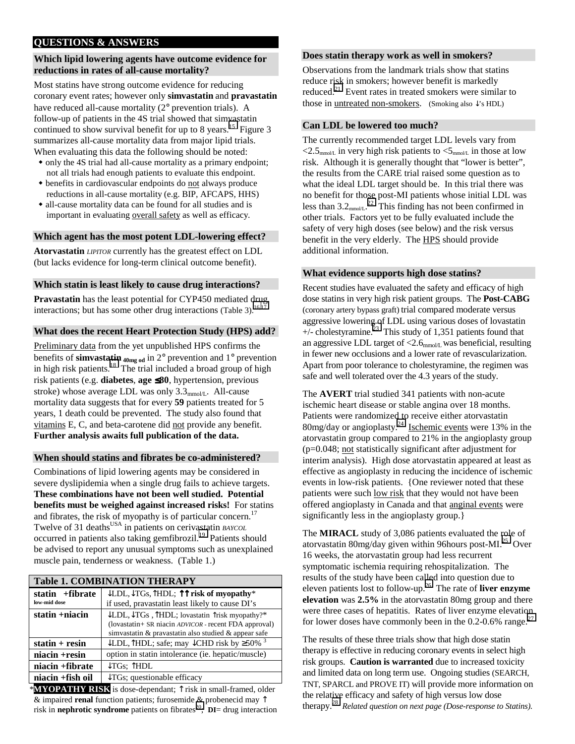# **QUESTIONS & ANSWERS**

## **Which lipid lowering agents have outcome evidence for reductions in rates of all-cause mortality?**

Most statins have strong outcome evidence for reducing coronary event rates; however only **simvastatin** and **pravastatin** have reduced all-cause mortality (2° prevention trials). A follow-up of patients in the 4S trial showed that simvastatin continued to show survival benefit for up to 8 years.<sup>15</sup> Figure 3 summarizes all-cause mortality data from major lipid trials. When evaluating this data the following should be noted:

- only the 4S trial had all-cause mortality as a primary endpoint; not all trials had enough patients to evaluate this endpoint.
- benefits in cardiovascular endpoints do not always produce reductions in all-cause mortality (e.g. BIP, AFCAPS, HHS)
- all-cause mortality data can be found for all studies and is important in evaluating overall safety as well as efficacy.

## **Which agent has the most potent LDL-lowering effect?**

**Atorvastatin** *LIPITOR* currently has the greatest effect on LDL (but lacks evidence for long-term clinical outcome benefit).

## **Which statin is least likely to cause drug interactions?**

**Pravastatin** has the least potential for CYP450 mediated drug interactions; but has some other drug interactions (Table 3). $^{16,17}$ 

# **What does the recent Heart Protection Study (HPS) add?**

Preliminary data from the yet unpublished HPS confirms the benefits of **simvastatin**  $_{40mg \text{ od}}$  in  $2^{\circ}$  prevention and  $1^{\circ}$  prevention in high risk patients.<sup>18</sup> The trial included a broad group of high risk patients (e.g. **diabetes**, **age** ≤**80**, hypertension, previous stroke) whose average LDL was only  $3.3<sub>mmol/L</sub>$ . All-cause mortality data suggests that for every **59** patients treated for 5 years, 1 death could be prevented. The study also found that vitamins E, C, and beta-carotene did not provide any benefit. **Further analysis awaits full publication of the data.**

# **When should statins and fibrates be co-administered?**

Combinations of lipid lowering agents may be considered in severe dyslipidemia when a single drug fails to achieve targets. **These combinations have not been well studied. Potential benefits must be weighed against increased risks!** For statins and fibrates, the risk of myopathy is of particular concern.<sup>17</sup> Twelve of 31 deaths<sup>USA</sup> in patients on cerivastatin *BAYCOL* occurred in patients also taking gemfibrozil.<sup>19</sup> Patients should be advised to report any unusual symptoms such as unexplained muscle pain, tenderness or weakness. (Table 1.)

|                   | <b>Table 1. COMBINATION THERAPY</b>                                                       |  |  |  |  |  |  |  |  |
|-------------------|-------------------------------------------------------------------------------------------|--|--|--|--|--|--|--|--|
| statin $+fibrate$ | $\downarrow$ LDL, $\downarrow$ TGs, $\uparrow$ HDL; $\uparrow \uparrow$ risk of myopathy* |  |  |  |  |  |  |  |  |
| low-mid dose      | if used, pravastatin least likely to cause DI's                                           |  |  |  |  |  |  |  |  |
| statin $+niacin$  | $\downarrow$ LDL, $\downarrow$ TGs, $\uparrow$ HDL; lovastatin $\uparrow$ risk myopathy?* |  |  |  |  |  |  |  |  |
|                   | (lovastatin+ SR niacin ADVICOR - recent FDA approval)                                     |  |  |  |  |  |  |  |  |
|                   | simvastatin & pravastatin also studied & appear safe                                      |  |  |  |  |  |  |  |  |
| $statin + resin$  | ↓LDL, $\hat{\uparrow}$ HDL; safe; may ↓CHD risk by ≥50%                                   |  |  |  |  |  |  |  |  |
| $niacin +resin$   | option in statin intolerance (ie. hepatic/muscle)                                         |  |  |  |  |  |  |  |  |
| niacin +fibrate   | $\downarrow$ TGs; $\uparrow$ HDL                                                          |  |  |  |  |  |  |  |  |
| niacin +fish oil  | $\downarrow$ TGs; questionable efficacy                                                   |  |  |  |  |  |  |  |  |

\***MYOPATHY RISK** is dose-dependant; ↑ risk in small-framed, older & impaired **renal** function patients; furosemide & probenecid may ↑ risk in **nephrotic syndrome** patients on fibrates<sup>20</sup>; **DI**= drug interaction

#### **Does statin therapy work as well in smokers?**

Observations from the landmark trials show that statins reduce risk in smokers; however benefit is markedly reduced. $^{21}$  Event rates in treated smokers were similar to those in untreated non-smokers. (Smoking also  $\sqrt{s}$  HDL)

### **Can LDL be lowered too much?**

The currently recommended target LDL levels vary from  $\langle 2.5_{\text{mmol/L}}$  in very high risk patients to  $\langle 5_{\text{mmol/L}}$  in those at low risk. Although it is generally thought that "lower is better", the results from the CARE trial raised some question as to what the ideal LDL target should be. In this trial there was no benefit for those post-MI patients whose initial LDL was less than  $3.2<sub>mmol/L</sub>$ .<sup>22</sup> This finding has not been confirmed in other trials. Factors yet to be fully evaluated include the safety of very high doses (see below) and the risk versus benefit in the very elderly. The HPS should provide additional information.

## **What evidence supports high dose statins?**

Recent studies have evaluated the safety and efficacy of high dose statins in very high risk patient groups. The **Post-CABG** (coronary artery bypass graft) trial compared moderate versus aggressive lowering of LDL using various doses of lovastatin  $+/-$  cholestyramine.<sup>23</sup> This study of 1,351 patients found that an aggressive LDL target of  $<$ 2.6<sub>mmol/L</sub> was beneficial, resulting in fewer new occlusions and a lower rate of revascularization. Apart from poor tolerance to cholestyramine, the regimen was safe and well tolerated over the 4.3 years of the study.

The **AVERT** trial studied 341 patients with non-acute ischemic heart disease or stable angina over 18 months. Patients were randomized to receive either atorvastatin 80mg/day or angioplasty.[24](#page-6-0) Ischemic events were 13% in the atorvastatin group compared to 21% in the angioplasty group (p=0.048; not statistically significant after adjustment for interim analysis). High dose atorvastatin appeared at least as effective as angioplasty in reducing the incidence of ischemic events in low-risk patients. {One reviewer noted that these patients were such low risk that they would not have been offered angioplasty in Canada and that anginal events were significantly less in the angioplasty group.}

The **MIRACL** study of 3,086 patients evaluated the role of atorvastatin 80mg/day given within 96 hours post-MI.<sup>25</sup> Over 16 weeks, the atorvastatin group had less recurrent symptomatic ischemia requiring rehospitalization. The results of the study have been called into question due to eleven patients lost to follow-up.[26](#page-6-0) The rate of **liver enzyme elevation** was **2.5%** in the atorvastatin 80mg group and there were three cases of hepatitis. Rates of liver enzyme elevation for lower doses have commonly been in the 0.2-0.6% range.<sup>[27](#page-6-0)</sup>

The results of these three trials show that high dose statin therapy is effective in reducing coronary events in select high risk groups. **Caution is warranted** due to increased toxicity and limited data on long term use. Ongoing studies (SEARCH, TNT, SPARCL and PROVE IT) will provide more information on the relative efficacy and safety of high versus low dose therapy.[28](#page-6-0) *Related question on next page (Dose-response to Statins).*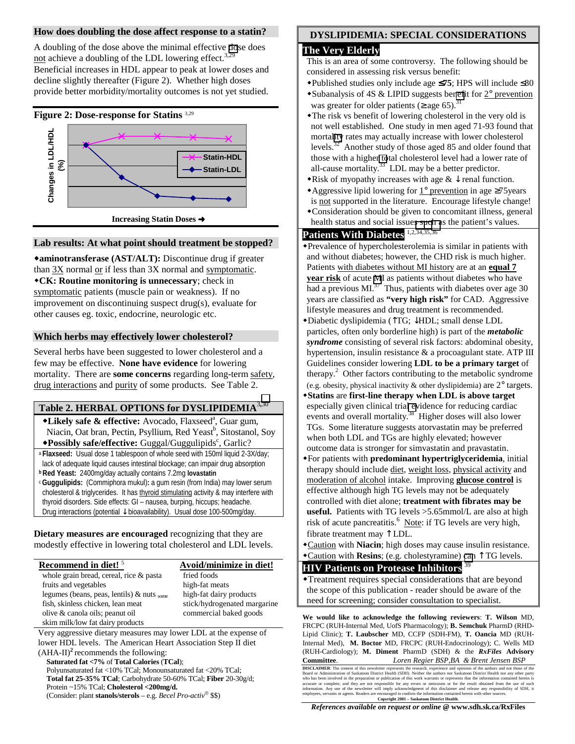## **How does doubling the dose affect response to a statin?**

A doubling of the dose above the minimal effective [do](#page-6-0)se does not achieve a doubling of the LDL lowering effect.<sup>3,29</sup> Beneficial increases in HDL appear to peak at lower doses and decline slightly thereafter (Figure 2). Whether high doses provide better morbidity/mortality outcomes is not yet studied.

## **Figure 2: Dose-response for Statins** 3,29



# **Lab results: At what point should treatment be stopped?**

**aminotransferase (AST/ALT):** Discontinue drug if greater than 3X normal or if less than 3X normal and symptomatic. **CK: Routine monitoring is unnecessary**; check in symptomatic patients (muscle pain or weakness). If no improvement on discontinuing suspect drug(s), evaluate for other causes eg. toxic, endocrine, neurologic etc.

## **Which herbs may effectively lower cholesterol?**

Several herbs have been suggested to lower cholesterol and a few may be effective. **None have evidence** for lowering mortality. There are **some concerns** regarding long-term safety, drug interactions and purity of some products. See Table 2.

# **Table 2. HERBAL OPTIONS for DYSLIPIDEMIA**<sup>3</sup>**,**[30](#page-6-0)

- \*Likely safe & effective: Avocado, Flaxseed<sup>a</sup>, Guar gum, Niacin, Oat bran, Pectin, Psyllium, Red Yeast<sup>b</sup>, Sitostanol, Soy **\*Possibly safe/effective:** Guggal/Guggulipids<sup>c</sup>, Garlic?
- <sup>a</sup> **Flaxseed:** Usual dose 1 tablespoon of whole seed with 150ml liquid 2-3X/day; lack of adequate liquid causes intestinal blockage; can impair drug absorption
- **b Red Yeast:** 2400mg/day actually contains 7.2mg **lovastatin**
- <sup>c</sup>**Guggulipids:** (Commiphora mukul)**:** a gum resin (from India) may lower serum cholesterol & triglycerides. It has thyroid stimulating activity & may interfere with thyroid disorders. Side effects: GI – nausea, burping, hiccups; headache. Drug interactions (potential ↓ bioavailability). Usual dose 100-500mg/day.

**Dietary measures are encouraged** recognizing that they are modestly effective in lowering total cholesterol and LDL levels.

| Recommend in diet! <sup>5</sup>               | Avoid/minimize in diet!      |
|-----------------------------------------------|------------------------------|
| whole grain bread, cereal, rice & pasta       | fried foods                  |
| fruits and vegetables                         | high-fat meats               |
| legumes (beans, peas, lentils) $\&$ nuts some | high-fat dairy products      |
| fish, skinless chicken, lean meat             | stick/hydrogenated margarine |
| olive & canola oils; peanut oil               | commercial baked goods       |
| skim milk/low fat dairy products              |                              |

Very aggressive dietary measures may lower LDL at the expense of lower HDL levels. The American Heart Association Step II diet  $(AHA-II)^2$  recommends the following:

**Saturated fat <7%** of **Total Calories** (**TCal**); Polyunsaturated fat <10% TCal; Monounsaturated fat <20% TCal; **Total fat 25-35% TCal**; Carbohydrate 50-60% TCal; **Fiber** 20-30g/d; Protein ~15% TCal; **Cholesterol <200mg/d.** (Consider: plant **stanols/sterols** – e.g. *Becel Pro-activ* \$\$)

# **DYSLIPIDEMIA: SPECIAL CONSIDERATIONS**

## **The Very Elderly**

- This is an area of some controversy. The following should be considered in assessing risk versus benefit:
- Published studies only include age ≤**75**; HPS will include ≤80
- $\triangle$ Subanalysis of 4S & LIPID suggests be[nef](#page-6-0)it for 2° prevention was greater for older patients ( $\geq$  age 65).<sup>31</sup>
- The risk vs benefit of lowering cholesterol in the very old is not well established. One study in men aged 71-93 found that mortal[ity](#page-6-0) rates may actually increase with lower cholesterol levels.32 Another study of those aged 85 and older found that those with a higher [to](#page-6-0)tal cholesterol level had a lower rate of all-cause mortality.<sup>33</sup> LDL may be a better predictor.
- Risk of myopathy increases with age  $\& \downarrow$  renal function.
- Aggressive lipid lowering for 1° prevention in age ≥75years is not supported in the literature. Encourage lifestyle change!
- Consideration should be given to concomitant illness, general health status and social issue[s such a](#page-6-0)s the patient's values.

# Patients With Diabetes<sup>1,2,34,35,36</sup>

- Prevalence of hypercholesterolemia is similar in patients with and without diabetes; however, the CHD risk is much higher. Patients with diabetes without MI history are at an **equal 7 year risk** of acute [M](#page-6-0)I as patients without diabetes who have had a previous  $MI^{37}$  Thus, patients with diabetes over age 30 years are classified as **"very high risk"** for CAD. Aggressive lifestyle measures and drug treatment is recommended.
- Diabetic dyslipidemia (↑TG; ↓HDL; small dense LDL particles, often only borderline high) is part of the *metabolic syndrome* consisting of several risk factors: abdominal obesity, hypertension, insulin resistance & a procoagulant state. ATP III Guidelines consider lowering **LDL to be a primary target** of therapy.<sup>2</sup> Other factors contributing to the metabolic syndrome (e.g. obesity, physical inactivity & other dyslipidemia) are 2° targets.
- **Statins** are **first-line therapy when LDL is above target** especially given clinical tria[l ev](#page-6-0)idence for reducing cardiac events and overall mortality.<sup>38</sup> Higher doses will also lower TGs. Some literature suggests atorvastatin may be preferred when both LDL and TGs are highly elevated; however outcome data is stronger for simvastatin and pravastatin.
- For patients with **predominant hypertriglyceridemia**, initial therapy should include diet, weight loss, physical activity and moderation of alcohol intake. Improving **glucose control** is effective although high TG levels may not be adequately controlled with diet alone; **treatment with fibrates may be useful.** Patients with TG levels >5.65mmol/L are also at high risk of acute pancreatitis.<sup>6</sup> Note: if TG levels are very high, fibrate treatment may ↑ LDL.
- Caution with **Niacin**; high doses may cause insulin resistance.
- Caution with **Resins**; (e.g. cholestyramine) [can](#page-6-0) ↑ TG levels.

# **HIV Patients on Protease Inhibitors** <sup>39</sup>

Treatment requires special considerations that are beyond the scope of this publication - reader should be aware of the need for screening; consider consultation to specialist.

**We would like to acknowledge the following reviewers**: **T. Wilson** MD, FRCPC (RUH-Internal Med, UofS Pharmacology); **B. Semchuk** PharmD (RHD-Lipid Clinic); **T. Laubscher** MD, CCFP (SDH-FM), **T. Oancia** MD (RUH-Internal Med), **M. Boctor** MD, FRCPC (RUH-Endocrinology); C. Wells MD (RUH-Cardiology); **M. Diment** PharmD (SDH) & the *RxFiles* **Advisory Committee**. *Loren Regier BSP,BA & Brent Jensen BSP*

**DISCLAIMER**. The content of this newsletter represents the research, experience and opinions of the authors and not those of the<br>Board or Administration of Saskatoon District Health (SDH). Neither the authors nor Saskatoo

*References available on request or online @* **www.sdh.sk.ca/RxFiles**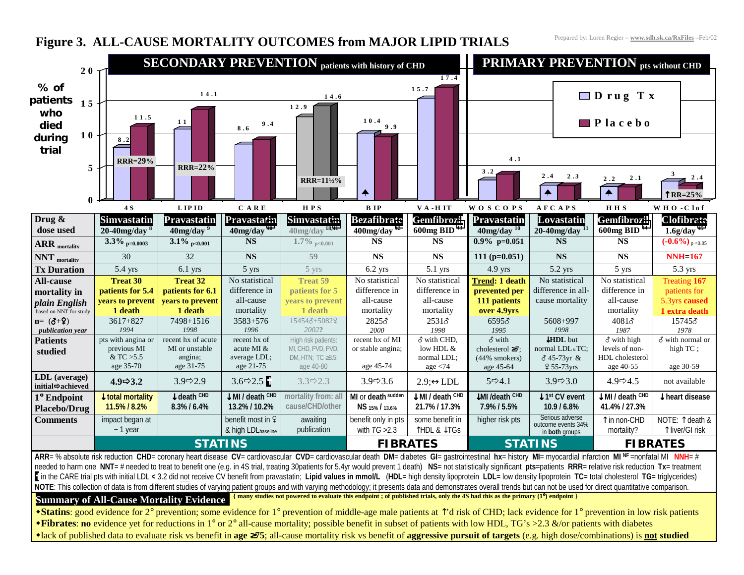# **Figure 3. ALL-CAUSE MORTALITY OUTCOMES from MAJOR LIPID TRIALS**

Prepared by: Loren Regier – **www.sdh.sk.ca/RxFiles** –Feb/02



-lack of published data to evaluate risk vs benefit in **age** ≥**75**; all-cause mortality risk vs benefit of **aggressive pursuit of targets** (e.g. high dose/combinations) is **not studied**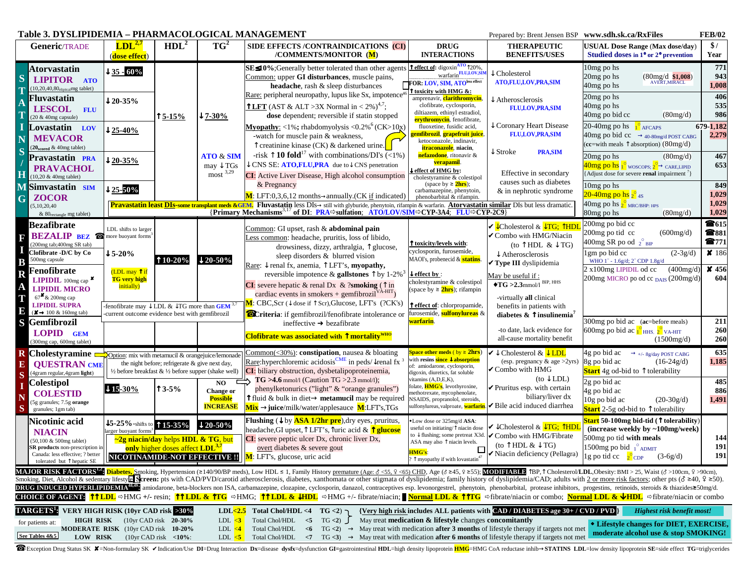|                                                               |                                                                                                                                                                                        | Table 3. DYSLIPIDEMIA – PHARMACOLOGICAL MANAGEMENT<br>www.sdh.sk.ca/RxFiles<br><b>FEB/02</b><br>Prepared by: Brent Jensen BSP                             |                                                                                                                                                |                                                                    |                                                                                                                                                                                                                                                                                                                                                                                                                                                                                                                                                                                                                                                                                                                                                                                                                                                                                                                                                                                        |                                                                                                                                                                                                                                                                    |                                                                                                                                                                                                                                                                                                                                           |                                                                                                                                                                                                                                                         |                                                                                    |  |  |  |  |  |
|---------------------------------------------------------------|----------------------------------------------------------------------------------------------------------------------------------------------------------------------------------------|-----------------------------------------------------------------------------------------------------------------------------------------------------------|------------------------------------------------------------------------------------------------------------------------------------------------|--------------------------------------------------------------------|----------------------------------------------------------------------------------------------------------------------------------------------------------------------------------------------------------------------------------------------------------------------------------------------------------------------------------------------------------------------------------------------------------------------------------------------------------------------------------------------------------------------------------------------------------------------------------------------------------------------------------------------------------------------------------------------------------------------------------------------------------------------------------------------------------------------------------------------------------------------------------------------------------------------------------------------------------------------------------------|--------------------------------------------------------------------------------------------------------------------------------------------------------------------------------------------------------------------------------------------------------------------|-------------------------------------------------------------------------------------------------------------------------------------------------------------------------------------------------------------------------------------------------------------------------------------------------------------------------------------------|---------------------------------------------------------------------------------------------------------------------------------------------------------------------------------------------------------------------------------------------------------|------------------------------------------------------------------------------------|--|--|--|--|--|
|                                                               | <b>Generic/TRADE</b>                                                                                                                                                                   | LDL <sup>2,7</sup><br>(dose effect)                                                                                                                       | HDL <sup>2</sup>                                                                                                                               | $TG^2$                                                             | SIDE EFFECTS /CONTRAINDICATIONS (CI)<br>/COMMENTS/MONITOR (M)                                                                                                                                                                                                                                                                                                                                                                                                                                                                                                                                                                                                                                                                                                                                                                                                                                                                                                                          | <b>DRUG</b><br><b>INTERACTIONS</b>                                                                                                                                                                                                                                 | <b>THERAPEUTIC</b><br><b>BENEFITS/USES</b>                                                                                                                                                                                                                                                                                                | USUAL Dose Range (Max dose/day)<br>Studied doses in 1° or 2° prevention                                                                                                                                                                                 | \$/<br>Year                                                                        |  |  |  |  |  |
| S<br>$\mathbf T$<br>$\overline{A}$<br>$\overline{\mathbf{I}}$ | Atorvastatin<br>LIPITOR ATO<br>$(10,20,40,80elipitalmg$ tablet)<br>Fluvastatin<br>LESCOL FLU<br>(20 & 40mg capsule)                                                                    | $\downarrow$ 35 - 60%<br>$\downarrow$ 20-35%                                                                                                              | $\uparrow$ 5-15%                                                                                                                               | $17 - 30\%$                                                        | SE≤10%;Generally better tolerated than other agents<br>Common: upper GI disturbances, muscle pains,<br>headache, rash & sleep disturbances<br>Rare: peripheral neuropathy, lupus like Sx, impotence <sup>4</sup><br>T LFT (AST & ALT > 3X Normal in < 2%) <sup>4,7</sup> ;<br>dose dependent; reversible if statin stopped                                                                                                                                                                                                                                                                                                                                                                                                                                                                                                                                                                                                                                                             | effect of: digoxin $\frac{ATO}{20\%}$ ,<br>warfarin <b>FLU,LOV</b> ,SIM<br>FOR: LOV, SIM, ATOless effect<br>toxicity with HMG &:<br>amprenavir, <b>clarithromycin</b> ,<br>clofibrate, cyclosporin,<br>diltiazem, ethinyl estradiol,<br>erythromycin, fenofibrate, | $\downarrow$ Cholesterol<br><b>ATO,FLU,LOV,PRA,SIM</b><br>$\downarrow$ Atherosclerosis<br><b>FLU,LOV, PRA, SIM</b>                                                                                                                                                                                                                        | 10mg po hs<br>20mg po hs<br>$(80mg/d \frac{$1,008}{\text{AVERT},\text{MIRACL}})$<br>40mg po hs<br>20mg po hs<br>40mg po hs<br>40mg po bid cc<br>(80mg/d)                                                                                                | 771<br>943<br>1,008<br>406<br>535<br>986                                           |  |  |  |  |  |
| П<br>N<br>S                                                   | Lovastatin<br>LOV<br><b>MEVACOR</b><br>(20 <sub>scored</sub> & 40mg tablet)<br>Pravastatin PRA                                                                                         | $125 - 40%$                                                                                                                                               |                                                                                                                                                | <b>ATO &amp; SIM</b>                                               | <b>Myopathy:</b> <1%; rhabdomyolysis <0.2% <sup>6</sup> (CK>10x)<br>-watch for muscle pain & weakness,<br>$\uparrow$ creatinine kinase (CK) & darkened urine.<br>-risk $\uparrow$ 10 fold <sup>17</sup> with combinations/DI's (<1%)                                                                                                                                                                                                                                                                                                                                                                                                                                                                                                                                                                                                                                                                                                                                                   | fluoxetine, fusidic acid,<br><mark>emfibrozil, grapefruit juice</mark><br>ketoconazole, indinavir,<br>itraconazole, niacin,<br>nefazodone, ritonavir &                                                                                                             | $\downarrow$ Coronary Heart Disease<br><b>FLU,LOV,PRA,SIM</b><br>$\downarrow$ Stroke<br><b>PRA, SIM</b>                                                                                                                                                                                                                                   | $20-40$ mg po hs<br>$1^\circ$ AFCAPS<br>40mg po bid cc → 40-80mg/d POST CABG<br>(cc=with meals $\uparrow$ absorption) (80mg/d)<br>20mg po hs<br>(80mg/d)                                                                                                | 679-1,182<br>2,279<br>467                                                          |  |  |  |  |  |
| H<br>M                                                        | <b>PRAVACHOL</b><br>(10,20 & 40mg tablet)<br>Simvastatin SIM<br><b>ZOCOR</b>                                                                                                           | $120 - 35%$<br>$\frac{125.50\%}{ }$                                                                                                                       |                                                                                                                                                | $may \downarrow TGs$<br>$most$ <sup>3,29</sup>                     | CNS SE: ATO, FLU, PRA due to $\downarrow$ CNS penetration<br><b>CI:</b> Active Liver Disease, High alcohol consumption<br>& Pregnancy<br>$M$ : LFT:0,3,6,12 months $\rightarrow$ annually.(CK if indicated)                                                                                                                                                                                                                                                                                                                                                                                                                                                                                                                                                                                                                                                                                                                                                                            | <mark>verapamil</mark> .<br>effect of HMG by:<br>cholestyramine & colestipol<br>(space by $\geq$ 2hrs);<br>carbamazepine, phenytoin,<br>phenobarbital & rifampin.                                                                                                  | Effective in secondary<br>causes such as diabetes<br>& in nephrotic syndrome                                                                                                                                                                                                                                                              | $40\mathrm{mg}$ po $\mathrm{hs}$ 1 $^\circ$ <sub>woscops; 2<math>^\circ</math> <math>\rightarrow</math> care,lipid</sub><br>[Adjust dose for severe <b>renal</b> impairment <sup>7</sup> ]<br>10mg po hs<br>20-40mg po hs $_{2}^{\circ}$ $_{4\text{S}}$ | 653<br>849<br>1,029                                                                |  |  |  |  |  |
| G                                                             | (5, 10, 20, 40)<br>& 80 <sub>rectangle</sub> mg tablet)                                                                                                                                |                                                                                                                                                           |                                                                                                                                                |                                                                    | <b>Pravastatin least DIs-some transplant meds &amp;GEM.</b> Fluvastatin less DIs-> still with glyburide, phenytoin, rifampin & warfarin. Atorvastatin similar DIs but less dramatic.<br>{Primary Mechanisms <sup>3,17</sup> of DI: PRA⇔sulfation; ATO/LOV/SIM⇒CYP-3A4; FLU⇒CYP-2C9}                                                                                                                                                                                                                                                                                                                                                                                                                                                                                                                                                                                                                                                                                                    |                                                                                                                                                                                                                                                                    |                                                                                                                                                                                                                                                                                                                                           | 40mg po hs 2 <sup>0</sup> <sub>MRC/BHP: HPS</sub><br>80mg po hs<br>(80mg/d)                                                                                                                                                                             | 1,029<br>1,029                                                                     |  |  |  |  |  |
| F<br>B<br>$\overline{\mathbf{R}}$<br>$\overline{A}$           | <b>Bezafibrate</b><br><b>BEZALIP BEZ ®</b><br>(200mg tab;400mg SR tab)<br>Clofibrate -D/C by Co<br>500mg capsule<br>Fenofibrate<br>LIPIDIL 100mg cap                                   | LDL shifts to larger<br>more buoyant forms <sup>3</sup><br>$\downarrow$ 5-20%<br>(LDL may $\uparrow$ if<br><b>TG</b> very high<br>initially)              | $\Gamma$ 10-20%                                                                                                                                | $\downarrow$ 20-50%                                                | Common: GI upset, rash & abdominal pain<br>Less common: headache, pruritis, loss of libido,<br>drowsiness, dizzy, arthralgia, $\uparrow$ glucose,<br>sleep disorders & blurred vision<br>Rare: $\downarrow$ renal fx, anemia, $\uparrow$ LFT's, myopathy,<br>reversible impotence & gallstones $\uparrow$ by 1-2% <sup>3</sup><br><b>CI</b> : severe hepatic & renal Dx & ?smoking ( $\uparrow$ in                                                                                                                                                                                                                                                                                                                                                                                                                                                                                                                                                                                     | T toxicity/levels with:<br>cyclosporin, furosemide,<br>MAOI's, probenecid & statins.<br>$\downarrow$ effect by :<br>cholestyramine & colestipol                                                                                                                    | <b>√</b> Cholesterol & <u>√TG</u> ; THDI<br>✔Combo with HMG/Niacin<br>(to $\uparrow$ HDL & $\downarrow$ TG)<br>$\downarrow$ Atherosclerosis<br>√Type III dyslipidemia<br>May be useful if:<br>$\blacklozenge$ TG >2.3mmol/l BIP, HHS                                                                                                      | 200mg po bid cc<br>200mg po tid cc<br>(600mg/d)<br>400mg SR po od $2^{\circ}$ BIP<br>1gm po bid cc<br>$(2-3g/d)$<br>WHO 1° - 1.6g/d; 2° CDP 1.8g/d<br>2 x100mg LIPIDIL od cc<br>(400mg/d)<br>200mg MICRO po od cc DAIS (200mg/d)                        | $\overline{\bullet}$ 615<br>\$81<br>4771<br>$\frac{186}{ }$<br>$\times 456$<br>604 |  |  |  |  |  |
| $\mathbf{I}$<br>$\overline{\mathbf{E}}$<br>S                  | <b>LIPIDIL MICRO</b><br>$67$ <sup>*</sup> & 200mg cap<br><b>LIPIDIL SUPRA</b><br>$(\mathbf{X} \rightarrow 100 \& 160$ mg tab)<br>Gemfibrozil<br>LOPID GEM<br>(300mg cap, 600mg tablet) | -fenofibrate may $\overline{\downarrow}$ LDL & $\overline{\downarrow}$ TG more than GEM <sup>3,7</sup><br>current outcome evidence best with gemfibrozil- |                                                                                                                                                |                                                                    | cardiac events in smokers + gemfibrozil $\overline{V}$ A-HIT)<br><b>M</b> : CBC, Scr $(\downarrow$ dose if $\uparrow$ Scr), Glucose, LFT's (?CK's)<br>Criteria: if gemfibrozil/fenofibrate intolerance or<br>ineffective $\rightarrow$ bezafibrate<br>Clofibrate was associated with $\uparrow$ mortality $^{\text{\tiny{WHO}}}$                                                                                                                                                                                                                                                                                                                                                                                                                                                                                                                                                                                                                                                       | (space by $\geq$ 2hrs); rifampin<br><b>T</b> effect of: chlorpropamide,<br>urosemide, <mark>sulfonylureas</mark> &<br><mark>warfarin</mark> .                                                                                                                      | -virtually all clinical<br>benefits in patients with<br>diabetes $\&$ $\uparrow$ insulinemia <sup>7</sup><br>-to date, lack evidence for<br>all-cause mortality benefit                                                                                                                                                                   | 300mg po bid ac (ac=before meals)<br>600mg po bid ac 1 <sup>0</sup> ннs. 2 <sup>0</sup> va-нгт<br>(1500mg/d)                                                                                                                                            | 211<br>260<br><b>260</b>                                                           |  |  |  |  |  |
| R<br>E<br>S<br>$\mathbf I$<br>N<br>S                          | Cholestyramine<br><b>OUESTRAN CME</b><br>(4gram regular, 4gram light)<br><b>Colestipol</b><br><b>COLESTID</b><br>(5g granules; 7.5g orange<br>granules; 1gm tab)                       | Option: mix with metamucil & orangejuice/lemonade<br>$U15-30%$                                                                                            | the night before; refrigerate & give next day,<br>$\frac{1}{2}$ before breakfast & $\frac{1}{2}$ before supper (shake well)<br>$\uparrow$ 3-5% | NO<br><b>Change</b> or<br><b>Possible</b><br><b>INCREASE</b>       | Common(<30%): constipation, nausea & bloating<br>Rare:hyperchloremic acidosis <sup>CME</sup> in peds/ $\downarrow$ renal fx<br>CI: biliary obstruction, dysbetalipoproteinemia,<br>TG >4.6 mmol/l (Caution TG >2.3 mmol/l);<br>phenylketonurics ("light" & "orange granules")<br>fluid & bulk in diet $\rightarrow$ <b>metamucil</b> may be required<br>Mix → juice/milk/water/applesauce M:LFT's, TGs                                                                                                                                                                                                                                                                                                                                                                                                                                                                                                                                                                                 | with resins <b>since A</b> absorption<br>of: amiodarone, cyclosporin,<br>digoxin, diuretics, fat soluble<br>vitamins (A,D,E,K),<br>folate, <b>HMG's</b> , levothyroxine,<br>methotrexate, mycophenolate,<br>NSAIDS, propranolol, steroids,                         | Space other meds ( by $\geq$ 2hrs) $\blacktriangleright$ $\blacktriangleright$ Cholesterol & $\frac{\blacktriangleright$ LDL<br>(esp. pregnancy $\&$ age >2yrs)<br>✔Combo with HMG<br>$(to \downarrow LDL)$<br>✔ Pruritus esp. with certain<br>biliary/liver dx<br>sulfonylureas, valproate, <b>warfarin</b> . Bile acid induced diarrhea | 4g po bid ac<br>$\rightarrow$ +/- 8g/day POST CABG<br>8g po bid ac<br>$(16-24g/d)$<br>Start 4g od-bid to ↑ tolerability<br>$2g$ po bid ac<br>4g po bid ac<br>10g po bid ac<br>$(20-30g/d)$<br>Start 2-5g od-bid to $\uparrow$ tolerability              | 635<br>1,185<br>485<br>886<br>1,491                                                |  |  |  |  |  |
|                                                               | Nicotinic acid<br><b>NIACIN</b><br>(50,100 & 500mg tablet)<br>SR products non-prescription in<br>Canada: less effective; ? better<br>tolerated but $\uparrow$ hepatic SE               | 15-25%-shifts to 15-35%<br>larger buoyant forms <sup>3</sup>                                                                                              | $\sim$ 2g niacin/day helps HDL & TG, but<br>only higher doses affect LDL <sup>3,7</sup>                                                        | $\downarrow$ 20-50%                                                | <b>Flushing</b> ( $\downarrow$ by <b>ASA 1/2hr pre</b> ), dry eyes, pruritus,<br>headache, GI upset, Î LFT's, luric acid & <mark>Î glucose</mark><br>CI: severe peptic ulcer Dx, chronic liver Dx,<br>overt diabetes & severe gout<br><b>NICOTINAMIDE-NOT EFFECTIVE #   M</b> : LFT's, glucose, uric acid                                                                                                                                                                                                                                                                                                                                                                                                                                                                                                                                                                                                                                                                              | *Low dose or 325mg/d ASA:<br>useful on initiating/ iniacin dose<br>to $\downarrow$ flushing; some pretreat X3d.<br>ASA may also $\uparrow$ niacin levels.<br>HMG's:<br><sup>2</sup> myopathy if with lovastatin <sup>47</sup>                                      | $\checkmark$ Cholesterol & $\overline{\downarrow}$ TG; THDI<br>✔Combo with HMG/Fibrate<br>(to $\uparrow$ HDL & $\downarrow$ TG)<br>Niacin deficiency (Pellagra)                                                                                                                                                                           | <mark>Start</mark> 50-100mg bid-tid (↑ tolerability)<br>(increase weekly by $\sim 100$ mg/week)<br>500mg po tid with meals<br>1500mg po bid 1 <sup>°</sup> ADMIT<br>$(3-6g/d)$<br>1g po tid cc<br>$2^{\circ}$ CDP                                       | 144<br>191<br>191                                                                  |  |  |  |  |  |
|                                                               |                                                                                                                                                                                        |                                                                                                                                                           |                                                                                                                                                |                                                                    | <b>MAJOR RISK FACTORS<sup>12</sup>: Diabetes,</b> Smoking, Hypertension (2140/90/BP meds), Low HDL ≤ 1, Family History premature (Age: § <55, 9 <65) CHD, Age (§ 245, 9 ≥55); <b>MODIFIABLE</b> TBP, T Cholestero/LDL, Obesity: BMI > 25, Waist<br>Smoking, Diet, Alcohol & sedentary lifestyle. Screen: pts with CAD/PVD/carotid atherosclerosis, diabetes, xanthomata or other stigmata of dyslipidemia; family history of dyslipidemia/CAD; adults with 2 or more risk factor<br>DRUG INDUCED HYPERLIPIDEMIA <sup>4859</sup> amiodarone, beta-blockers non ISA, carbamazepine, clozapine, cyclosporin, danazol, contraceptives esp. levonorgestrel, phenytoin, phenobarbital, protease inhibitors, progestins, retinoids,<br>CHOICE OF AGENT: <sup>11</sup> LDL ≈HMG +/- resin; <sup>11</sup> LDL & <sup>1</sup> TG ≈HMG; <sup>11</sup> LDL & ↓HDL ≈ HMG +/- fibrate/niacin;   Normal LDL & <sup>11</sup> TG ≈ fibrate/niacin or combo; Normal LDL & ↓HDL ≈ fibrate/niacin or combo |                                                                                                                                                                                                                                                                    |                                                                                                                                                                                                                                                                                                                                           |                                                                                                                                                                                                                                                         |                                                                                    |  |  |  |  |  |
|                                                               | <b>TARGETS<sup>1</sup>:</b> VERY HIGH RISK (10yr CAD risk >30%<br>for patients at:<br>See Tables 4&5<br>LOW RISK                                                                       | HIGH RISK (10yr CAD risk 20-30%)<br><b>MODERATE RISK</b> (10yr CAD risk 10-20%)                                                                           | $(10\text{yr }$ CAD risk <10%:                                                                                                                 | LDL <sub>2.5</sub><br>LDL $\langle$ 3<br>LDL $<$ 4<br>LDL $\leq 5$ | Total Chol/HDL <4 TG <2) $\cap$<br>Total Chol/HDL $\leq$ TG $\leq$ ) May treat <b>medication &amp; lifestyle</b> changes <b>concomitantly</b><br>Total Chol/HDL $\leq 6$<br>Total Chol/HDL $\langle 7 \rangle$                                                                                                                                                                                                                                                                                                                                                                                                                                                                                                                                                                                                                                                                                                                                                                         |                                                                                                                                                                                                                                                                    | {Very high risk includes ALL patients with CAD / DIABETES age 30+ / CVD / PVD }<br>TG <2) $\rightarrow$ May treat with medication <b>after 3 months</b> of lifestyle therapy if targets not met<br>TG <3) $\rightarrow$ May treat with medication <b>after 6 months</b> of lifestyle therapy if targets not met                           | Highest risk benefit most!<br>• Lifestyle changes for DIET, EXERCISE,<br>moderate alcohol use & stop SMOKING!                                                                                                                                           |                                                                                    |  |  |  |  |  |

Exception Drug Status SK X=Non-formulary SK VIndication/Use DI=Drug Interaction Dx=disease dysfx=dysfunction GI=gastrointestinal HDL=high density lipoprotein HMG=HMG CoA reductase inhib->STATINS LDL=low density lipoprotein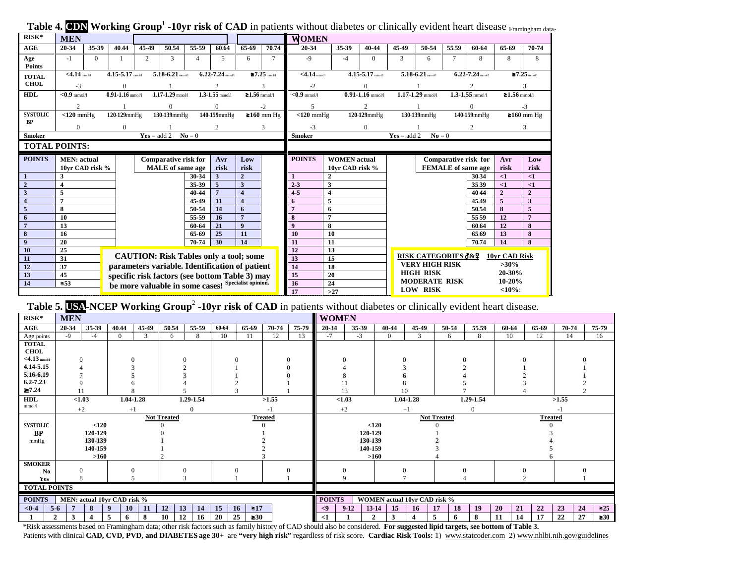| $RISK*$             | <b>MEN</b>                                                                                             |                                                                  |                      |                         |                                                     |                     |                      |                              | Tuber is sold of the same of the company of the company of the control of the company of the mother through proming and<br><b>WOMEN</b> |                 |                                         |                                                                |                                |                   |                      |                           |                    |                |  |
|---------------------|--------------------------------------------------------------------------------------------------------|------------------------------------------------------------------|----------------------|-------------------------|-----------------------------------------------------|---------------------|----------------------|------------------------------|-----------------------------------------------------------------------------------------------------------------------------------------|-----------------|-----------------------------------------|----------------------------------------------------------------|--------------------------------|-------------------|----------------------|---------------------------|--------------------|----------------|--|
| AGE                 | 20-34                                                                                                  | 35-39                                                            | 40.44                | 45-49                   | 50.54                                               | 55-59               | 60.64                | 65-69                        | 70.74                                                                                                                                   | 20-34           | 35-39                                   | 40-44                                                          | 45-49                          | 50-54             | 55.59                | 60-64                     | 65-69              | 70-74          |  |
| Age                 | $-1$                                                                                                   | $\Omega$                                                         |                      | 2                       | 3                                                   | $\overline{4}$      | 5                    | 6                            | $\tau$                                                                                                                                  | $-9$            | $-4$                                    | $\Omega$                                                       | 3                              | 6                 |                      | 8                         | 8                  | 8              |  |
| <b>Points</b>       |                                                                                                        |                                                                  |                      |                         |                                                     |                     |                      |                              |                                                                                                                                         |                 |                                         |                                                                |                                |                   |                      |                           |                    |                |  |
| <b>TOTAL</b>        | $<$ 4.14 mmol/l                                                                                        |                                                                  | $4.15 - 5.17$ mmol/1 |                         | $5.18 - 6.21$ mmol/l                                |                     | $6.22 - 7.24$ mmol/l | $\geq 7.25$ mmotal           |                                                                                                                                         |                 | $<$ 4.14 mmol/l<br>$4.15 - 5.17$ mmol/1 |                                                                | $5.18 - 6.21$ mmol/l           |                   | $6.22 - 7.24$ mmol/1 |                           | $\geq 7.25$ mmol/l |                |  |
| <b>CHOL</b>         | $-3$                                                                                                   |                                                                  | $\Omega$             |                         |                                                     |                     |                      |                              |                                                                                                                                         | $-2$            |                                         | $\theta$                                                       |                                |                   |                      |                           |                    |                |  |
| <b>HDL</b>          |                                                                                                        | $<0.9$ mmol/l<br>$0.91 - 1.16$ mmol/l<br>$1.17 - 1.29$ mmol/l    |                      |                         |                                                     | $1.3 - 1.55$ mmol/1 | ≥1.56 mmol/l         |                              | $< 0.9$ mmol/1                                                                                                                          |                 | $0.91 - 1.16$ mmol/1                    |                                                                | $1.17 - 1.29$ mmol/l           |                   | $1.3 - 1.55$ mmol/l  | $≥1.56$ mmol/l            |                    |                |  |
|                     | $\mathfrak{2}$                                                                                         |                                                                  |                      |                         | $\Omega$                                            |                     | $\Omega$             |                              | $-2$                                                                                                                                    |                 |                                         | $\overline{c}$                                                 |                                |                   |                      | $\Omega$                  |                    | $-3$           |  |
| <b>SYSTOLIC</b>     | $< 120$ mmHg                                                                                           |                                                                  | $120.129$ mm $Hg$    |                         | 130-139mmHg                                         |                     | 140-159mmHg          |                              | ≥160 mm Hg                                                                                                                              | $< 120$ mmHg    |                                         | 120-129mmHg                                                    |                                | 130-139mmHg       |                      | 140-159mmHg               |                    | ≥160 mm Hg     |  |
| <b>BP</b>           | $\overline{0}$                                                                                         |                                                                  | $\Omega$             |                         |                                                     |                     |                      |                              | 3                                                                                                                                       | $-3$            | $\mathbf{0}$                            |                                                                |                                |                   |                      | 2                         |                    | 3              |  |
| <b>Smoker</b>       |                                                                                                        |                                                                  |                      |                         | $Yes = add 2$ $No = 0$                              |                     |                      |                              |                                                                                                                                         | <b>Smoker</b>   |                                         |                                                                | $Yes = add 2$                  | $N\mathbf{o} = 0$ |                      |                           |                    |                |  |
|                     | <b>TOTAL POINTS:</b>                                                                                   |                                                                  |                      |                         |                                                     |                     |                      |                              |                                                                                                                                         |                 |                                         |                                                                |                                |                   |                      |                           |                    |                |  |
| <b>POINTS</b>       |                                                                                                        | <b>Comparative risk for</b><br>Avr<br><b>MEN</b> : actual<br>Low |                      |                         |                                                     |                     | <b>POINTS</b>        | <b>WOMEN</b> actual          |                                                                                                                                         |                 |                                         | Comparative risk for                                           | Avr                            | Low               |                      |                           |                    |                |  |
|                     |                                                                                                        | 10yr CAD risk %                                                  |                      | <b>MALE</b> of same age |                                                     |                     | risk<br>risk         |                              |                                                                                                                                         |                 | 10yr CAD risk %                         |                                                                |                                |                   |                      | <b>FEMALE</b> of same age |                    | risk           |  |
|                     | 3                                                                                                      |                                                                  |                      |                         |                                                     | 30-34               | 3                    | $\overline{2}$               |                                                                                                                                         |                 | $\mathbf{2}$                            |                                                                |                                |                   |                      | 30.34                     | $\leq$ 1           | $\leq$ 1       |  |
| $\overline{2}$      | $\overline{\mathbf{4}}$                                                                                |                                                                  |                      |                         |                                                     | 35-39               | 5                    | 3                            |                                                                                                                                         | 3<br>$2 - 3$    |                                         |                                                                |                                |                   |                      | 35.39                     | $\leq$ 1           | $\leq$ 1       |  |
| $\mathbf{3}$        | 5                                                                                                      |                                                                  |                      |                         |                                                     | 40-44               |                      | $\overline{\mathbf{4}}$      |                                                                                                                                         | $4 - 5$         | $\overline{4}$                          |                                                                |                                |                   |                      | 40.44                     | $\overline{2}$     | $\overline{2}$ |  |
| $\overline{4}$<br>5 | $\overline{7}$<br>8                                                                                    |                                                                  |                      |                         |                                                     | 45-49<br>50-54      | 11<br>14             | $\overline{\mathbf{4}}$<br>6 |                                                                                                                                         |                 | 5                                       |                                                                |                                |                   |                      | 45.49<br>50.54            | 5<br>8             | 3<br>5         |  |
| 6                   | 10                                                                                                     |                                                                  |                      |                         |                                                     | 55-59               | 16                   | $\overline{7}$               |                                                                                                                                         | 8               | 6<br>$\overline{7}$                     |                                                                |                                |                   |                      | 55.59                     | 12                 | 7              |  |
| $\overline{7}$      | 13                                                                                                     |                                                                  |                      |                         |                                                     | 60-64               | 21                   | $\boldsymbol{9}$             |                                                                                                                                         | $\bf{Q}$        | 8                                       |                                                                |                                |                   |                      | 60.64                     | 12                 | 8              |  |
| 8                   | 16                                                                                                     |                                                                  | 65-69                |                         | 25                                                  | 11                  |                      | 10<br>10                     |                                                                                                                                         |                 |                                         |                                                                |                                | 65.69             | 13                   | 8                         |                    |                |  |
| $\boldsymbol{9}$    | 20                                                                                                     |                                                                  |                      |                         |                                                     | 70-74               | 30                   | 14                           |                                                                                                                                         | 11              | 11                                      |                                                                |                                |                   |                      | 70.74                     | 14                 | 8              |  |
| 10                  | 25                                                                                                     |                                                                  |                      |                         |                                                     |                     |                      |                              |                                                                                                                                         | 12              | 13                                      |                                                                |                                |                   |                      |                           |                    |                |  |
| 11                  | <b>CAUTION: Risk Tables only a tool; some</b><br>31                                                    |                                                                  |                      |                         |                                                     |                     |                      |                              | 13                                                                                                                                      | $\overline{15}$ |                                         |                                                                | <b>RISK CATEGORIES 3&amp;9</b> |                   |                      | 10yr CAD Risk             |                    |                |  |
| 12                  | parameters variable. Identification of patient<br>37<br>specific risk factors (see bottom Table 3) may |                                                                  |                      |                         |                                                     |                     |                      |                              |                                                                                                                                         | 14              | 18                                      | <b>VERY HIGH RISK</b><br>$>30\%$<br><b>HIGH RISK</b><br>20-30% |                                |                   |                      |                           |                    |                |  |
| 13<br>14            | 45<br>$\geq 53$                                                                                        |                                                                  |                      |                         |                                                     |                     |                      |                              |                                                                                                                                         | 15<br>16        | 20<br>24                                |                                                                | <b>MODERATE RISK</b><br>10-20% |                   |                      |                           |                    |                |  |
|                     |                                                                                                        |                                                                  |                      |                         | be more valuable in some cases! Specialist opinion. |                     |                      |                              |                                                                                                                                         | 17              | $>27$                                   |                                                                | <b>LOW RISK</b><br><10%        |                   |                      |                           |                    |                |  |

**Table 4. CDN Working Group<sup>1</sup> -10vr risk of CAD** in patients without diabetes or clinically evident heart disease Framingham data.

**Table 5. USA-NCEP Working Group<sup>2</sup> -10yr risk of CAD** in patients without diabetes or clinically evident heart disease.

| $RISK*$             | <b>MEN</b> |          |                             |              |                    |           |                       |                 |                |             | <b>WOMEN</b>                         |                |                                     |          |        |          |          |          |       |           |           |  |  |
|---------------------|------------|----------|-----------------------------|--------------|--------------------|-----------|-----------------------|-----------------|----------------|-------------|--------------------------------------|----------------|-------------------------------------|----------|--------|----------|----------|----------|-------|-----------|-----------|--|--|
| AGE                 | 20-34      | 35-39    | 40.44                       | 45-49        | 50.54              | 55-59     | 60-64                 | 65-69           | 70-74          | 75-79       | 20-34                                | 35-39          | 40-44                               | 45-49    | 50-54  | 55.59    | 60-64    | 65-69    | 70-74 |           | 75-79     |  |  |
| Age points          | $-9$       | $-4$     | $\Omega$                    | $\mathbf{3}$ | 6                  | 8         | 10                    | 11              | 12             | 13          | $-7$                                 | $-3$           | $\overline{0}$                      | 3        | 6      | 8        | 10       | 12       | 14    |           | 16        |  |  |
| <b>TOTAL</b>        |            |          |                             |              |                    |           |                       |                 |                |             |                                      |                |                                     |          |        |          |          |          |       |           |           |  |  |
| <b>CHOL</b>         |            |          |                             |              |                    |           |                       |                 |                |             |                                      |                |                                     |          |        |          |          |          |       |           |           |  |  |
| $<$ 4.13 mmol/l     |            |          |                             |              |                    |           |                       |                 |                | $\Omega$    |                                      | $\Omega$       |                                     |          |        |          | $\Omega$ |          |       |           |           |  |  |
| 4.14-5.15           |            |          |                             |              |                    |           |                       |                 |                |             |                                      |                |                                     |          |        |          |          |          |       |           |           |  |  |
| 5.16-6.19           |            |          |                             |              |                    |           |                       |                 |                |             |                                      |                |                                     |          |        |          |          |          |       |           |           |  |  |
| $6.2 - 7.23$        |            |          |                             |              |                    |           |                       |                 |                |             |                                      |                |                                     |          |        |          |          |          |       |           |           |  |  |
| $\geq 7.24$         |            |          |                             |              |                    |           |                       |                 |                |             |                                      |                | 10                                  |          |        |          |          |          |       |           |           |  |  |
| <b>HDL</b>          |            | < 1.03   |                             | 1.04-1.28    |                    | 1.29-1.54 | >1.55                 |                 | < 1.03         |             | 1.04-1.28                            |                | 1.29-1.54                           |          | >1.55  |          |          |          |       |           |           |  |  |
| mmol/l              | $+2$       |          |                             | $+1$         |                    |           |                       |                 |                |             | $+2$<br>$+1$                         |                |                                     |          |        |          |          |          |       |           |           |  |  |
|                     |            |          |                             |              | <b>Not Treated</b> |           |                       |                 | <b>Treated</b> |             | <b>Not Treated</b><br><b>Treated</b> |                |                                     |          |        |          |          |          |       |           |           |  |  |
| <b>SYSTOLIC</b>     |            | $<$ 120  |                             |              |                    |           |                       |                 |                | $120$       |                                      |                |                                     |          |        |          |          |          |       |           |           |  |  |
| <b>BP</b>           | 120-129    |          |                             |              |                    |           |                       |                 | 120-129        |             |                                      |                |                                     |          |        |          |          |          |       |           |           |  |  |
| mmHg                |            | 130-139  |                             |              |                    |           |                       |                 |                |             | 130-139                              |                |                                     |          |        |          |          |          |       |           |           |  |  |
|                     |            | 140-159  |                             |              |                    |           |                       |                 |                |             | 140-159                              |                |                                     |          |        |          |          |          |       |           |           |  |  |
|                     |            | $>160$   |                             |              |                    |           |                       |                 |                |             |                                      |                | $>160$                              |          |        |          |          |          |       |           |           |  |  |
| <b>SMOKER</b>       |            |          |                             |              |                    |           |                       |                 |                |             |                                      |                |                                     |          |        |          |          |          |       |           |           |  |  |
| N <sub>0</sub>      |            | $\Omega$ |                             |              |                    |           |                       |                 | $\Omega$       |             |                                      | $\Omega$       |                                     |          |        | $\Omega$ |          | $\Omega$ |       |           |           |  |  |
| Yes                 |            |          |                             |              |                    |           |                       |                 |                |             |                                      |                |                                     |          |        |          |          |          |       |           |           |  |  |
| <b>TOTAL POINTS</b> |            |          |                             |              |                    |           |                       |                 |                |             |                                      |                |                                     |          |        |          |          |          |       |           |           |  |  |
| <b>POINTS</b>       |            |          | MEN: actual 10yr CAD risk % |              |                    |           |                       |                 |                |             | <b>POINTS</b>                        |                | <b>WOMEN</b> actual 10yr CAD risk % |          |        |          |          |          |       |           |           |  |  |
| $< 0 - 4$           | $5-6$      | 8        | 10                          | 11           | 12<br>13           | 14        | 15<br>$\geq 17$<br>16 |                 |                | $\langle 9$ | $13 - 14$<br>$9-12$                  | 15             | 16                                  | 17<br>18 | 19     | 20<br>21 | 22       | 23       | 24    | $\geq 25$ |           |  |  |
| $\mathbf{\hat{}}$   |            |          | 5<br>n                      | 8            | 10<br>12           | 16        | 20                    | 25<br>$\geq 30$ |                |             | <1                                   | $\overline{2}$ | 3                                   | 4        | 5<br>6 | 8        | 11<br>14 | 17       | 22    | 27        | $\geq 30$ |  |  |

\*Risk assessments based on Framingham data; other risk factors such as family history of CAD should also be considered. **For suggested lipid targets, see bottom of Table 3.** Patients with clinical **CAD, CVD, PVD, and DIABETES** age 30+ are "very high risk" regardless of risk score. **Cardiac Risk Tools:** 1) www.statcoder.com 2) www.nhlbi.nih.gov/guidelines